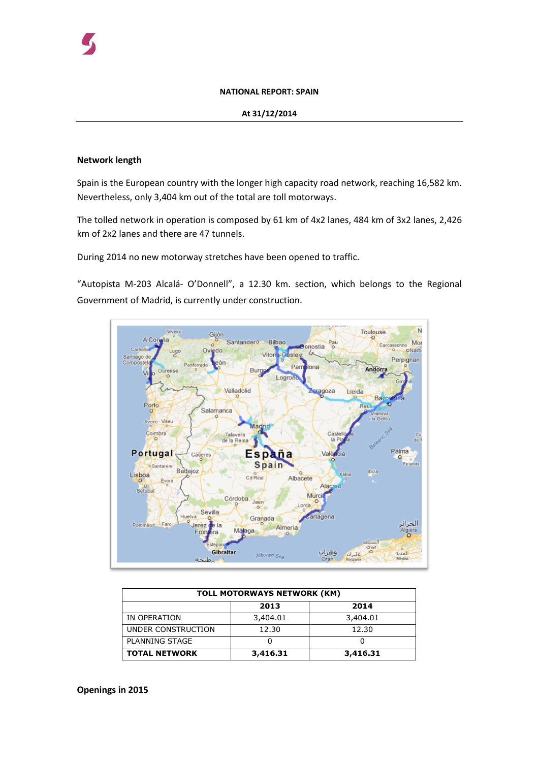#### **NATIONAL REPORT: SPAIN**

### **At 31/12/2014**

## **Network length**

Spain is the European country with the longer high capacity road network, reaching 16,582 km. Nevertheless, only 3,404 km out of the total are toll motorways.

The tolled network in operation is composed by 61 km of 4x2 lanes, 484 km of 3x2 lanes, 2,426 km of 2x2 lanes and there are 47 tunnels.

During 2014 no new motorway stretches have been opened to traffic.

"Autopista M-203 Alcalá- O'Donnell", a 12.30 km. section, which belongs to the Regional Government of Madrid, is currently under construction.



| <b>TOLL MOTORWAYS NETWORK (KM)</b> |          |          |  |  |
|------------------------------------|----------|----------|--|--|
|                                    | 2013     | 2014     |  |  |
| IN OPERATION                       | 3,404.01 | 3,404.01 |  |  |
| UNDER CONSTRUCTION                 | 12.30    | 12.30    |  |  |
| <b>PLANNING STAGE</b>              |          |          |  |  |
| <b>TOTAL NETWORK</b>               | 3,416.31 | 3,416.31 |  |  |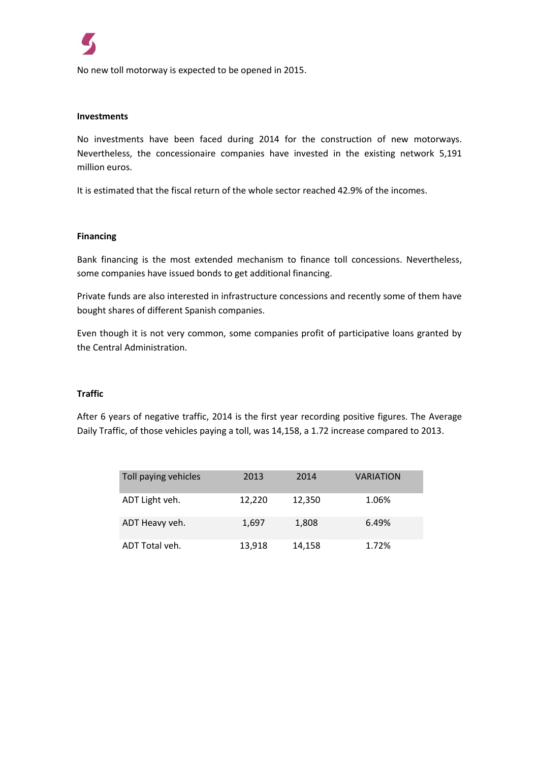No new toll motorway is expected to be opened in 2015.

### **Investments**

No investments have been faced during 2014 for the construction of new motorways. Nevertheless, the concessionaire companies have invested in the existing network 5,191 million euros.

It is estimated that the fiscal return of the whole sector reached 42.9% of the incomes.

### **Financing**

Bank financing is the most extended mechanism to finance toll concessions. Nevertheless, some companies have issued bonds to get additional financing.

Private funds are also interested in infrastructure concessions and recently some of them have bought shares of different Spanish companies.

Even though it is not very common, some companies profit of participative loans granted by the Central Administration.

## **Traffic**

After 6 years of negative traffic, 2014 is the first year recording positive figures. The Average Daily Traffic, of those vehicles paying a toll, was 14,158, a 1.72 increase compared to 2013.

| Toll paying vehicles | 2013   | 2014   | <b>VARIATION</b> |
|----------------------|--------|--------|------------------|
| ADT Light veh.       | 12,220 | 12,350 | 1.06%            |
| ADT Heavy veh.       | 1,697  | 1,808  | 6.49%            |
| ADT Total veh.       | 13,918 | 14,158 | 1.72%            |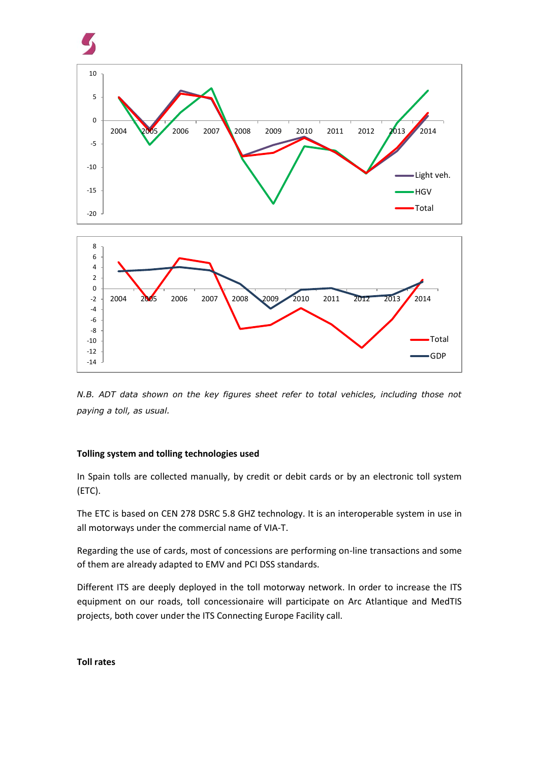

*N.B. ADT data shown on the key figures sheet refer to total vehicles, including those not paying a toll, as usual.* 

# **Tolling system and tolling technologies used**

In Spain tolls are collected manually, by credit or debit cards or by an electronic toll system (ETC).

The ETC is based on CEN 278 DSRC 5.8 GHZ technology. It is an interoperable system in use in all motorways under the commercial name of VIA-T.

Regarding the use of cards, most of concessions are performing on-line transactions and some of them are already adapted to EMV and PCI DSS standards.

Different ITS are deeply deployed in the toll motorway network. In order to increase the ITS equipment on our roads, toll concessionaire will participate on Arc Atlantique and MedTIS projects, both cover under the ITS Connecting Europe Facility call.

### **Toll rates**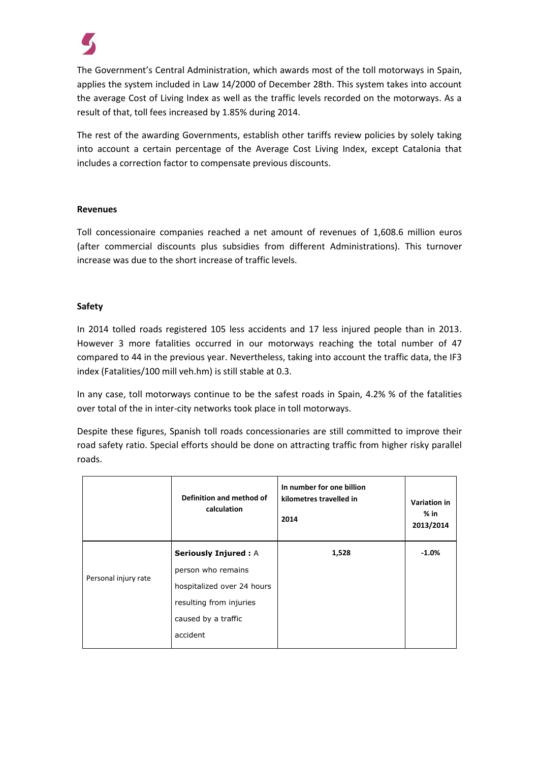

The Government's Central Administration, which awards most of the toll motorways in Spain, applies the system included in Law 14/2000 of December 28th. This system takes into account the average Cost of Living Index as well as the traffic levels recorded on the motorways. As a result of that, toll fees increased by 1.85% during 2014.

The rest of the awarding Governments, establish other tariffs review policies by solely taking into account a certain percentage of the Average Cost Living Index, except Catalonia that includes a correction factor to compensate previous discounts.

## **Revenues**

Toll concessionaire companies reached a net amount of revenues of 1,608.6 million euros (after commercial discounts plus subsidies from different Administrations). This turnover increase was due to the short increase of traffic levels.

## **Safety**

In 2014 tolled roads registered 105 less accidents and 17 less injured people than in 2013. However 3 more fatalities occurred in our motorways reaching the total number of 47 compared to 44 in the previous year. Nevertheless, taking into account the traffic data, the IF3 index (Fatalities/100 mill veh.hm) is still stable at 0.3.

In any case, toll motorways continue to be the safest roads in Spain, 4.2% % of the fatalities over total of the in inter-city networks took place in toll motorways.

Despite these figures, Spanish toll roads concessionaries are still committed to improve their road safety ratio. Special efforts should be done on attracting traffic from higher risky parallel roads.

|                      | Definition and method of<br>calculation | In number for one billion<br>kilometres travelled in<br>2014 | <b>Variation in</b><br>% in<br>2013/2014 |
|----------------------|-----------------------------------------|--------------------------------------------------------------|------------------------------------------|
|                      | <b>Seriously Injured: A</b>             | 1,528                                                        | $-1.0%$                                  |
| Personal injury rate | person who remains                      |                                                              |                                          |
|                      | hospitalized over 24 hours              |                                                              |                                          |
|                      | resulting from injuries                 |                                                              |                                          |
|                      | caused by a traffic                     |                                                              |                                          |
|                      | accident                                |                                                              |                                          |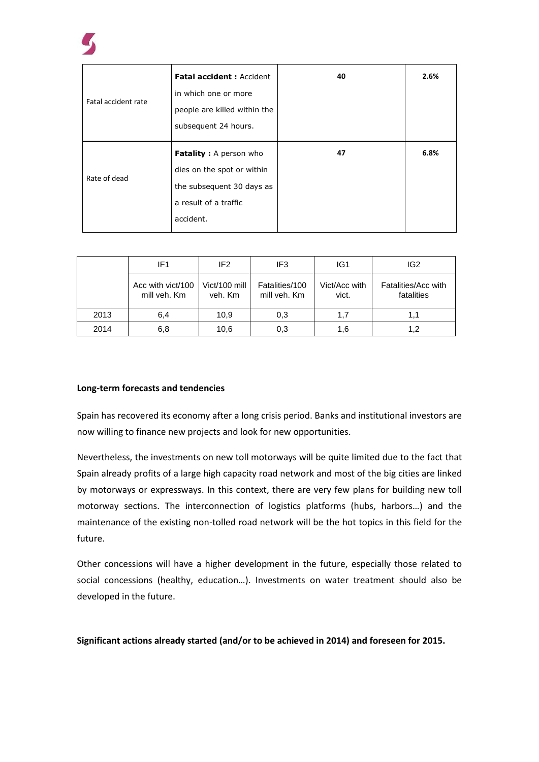

|                     | <b>Fatal accident: Accident</b> | 40 | 2.6% |
|---------------------|---------------------------------|----|------|
| Fatal accident rate | in which one or more            |    |      |
|                     | people are killed within the    |    |      |
|                     | subsequent 24 hours.            |    |      |
|                     | <b>Fatality:</b> A person who   | 47 | 6.8% |
| Rate of dead        | dies on the spot or within      |    |      |
|                     | the subsequent 30 days as       |    |      |
|                     | a result of a traffic           |    |      |
|                     | accident.                       |    |      |

|      | IF <sub>1</sub>                   | IF <sub>2</sub>          | IF <sub>3</sub>                | IG <sub>1</sub>        | IG <sub>2</sub>                   |
|------|-----------------------------------|--------------------------|--------------------------------|------------------------|-----------------------------------|
|      | Acc with vict/100<br>mill veh. Km | Vict/100 mill<br>veh. Km | Fatalities/100<br>mill veh. Km | Vict/Acc with<br>vict. | Fatalities/Acc with<br>fatalities |
| 2013 | 6,4                               | 10,9                     | 0,3                            | 1,7                    | 1.1                               |
| 2014 | 6,8                               | 10,6                     | 0,3                            | 1,6                    | 1.2                               |

## **Long-term forecasts and tendencies**

Spain has recovered its economy after a long crisis period. Banks and institutional investors are now willing to finance new projects and look for new opportunities.

Nevertheless, the investments on new toll motorways will be quite limited due to the fact that Spain already profits of a large high capacity road network and most of the big cities are linked by motorways or expressways. In this context, there are very few plans for building new toll motorway sections. The interconnection of logistics platforms (hubs, harbors…) and the maintenance of the existing non-tolled road network will be the hot topics in this field for the future.

Other concessions will have a higher development in the future, especially those related to social concessions (healthy, education…). Investments on water treatment should also be developed in the future.

**Significant actions already started (and/or to be achieved in 2014) and foreseen for 2015.**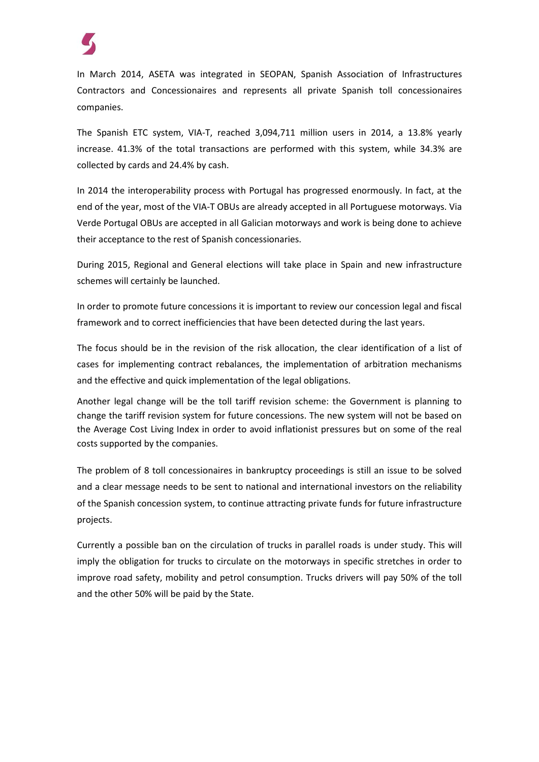

In March 2014, ASETA was integrated in SEOPAN, Spanish Association of Infrastructures Contractors and Concessionaires and represents all private Spanish toll concessionaires companies.

The Spanish ETC system, VIA-T, reached 3,094,711 million users in 2014, a 13.8% yearly increase. 41.3% of the total transactions are performed with this system, while 34.3% are collected by cards and 24.4% by cash.

In 2014 the interoperability process with Portugal has progressed enormously. In fact, at the end of the year, most of the VIA-T OBUs are already accepted in all Portuguese motorways. Via Verde Portugal OBUs are accepted in all Galician motorways and work is being done to achieve their acceptance to the rest of Spanish concessionaries.

During 2015, Regional and General elections will take place in Spain and new infrastructure schemes will certainly be launched.

In order to promote future concessions it is important to review our concession legal and fiscal framework and to correct inefficiencies that have been detected during the last years.

The focus should be in the revision of the risk allocation, the clear identification of a list of cases for implementing contract rebalances, the implementation of arbitration mechanisms and the effective and quick implementation of the legal obligations.

Another legal change will be the toll tariff revision scheme: the Government is planning to change the tariff revision system for future concessions. The new system will not be based on the Average Cost Living Index in order to avoid inflationist pressures but on some of the real costs supported by the companies.

The problem of 8 toll concessionaires in bankruptcy proceedings is still an issue to be solved and a clear message needs to be sent to national and international investors on the reliability of the Spanish concession system, to continue attracting private funds for future infrastructure projects.

Currently a possible ban on the circulation of trucks in parallel roads is under study. This will imply the obligation for trucks to circulate on the motorways in specific stretches in order to improve road safety, mobility and petrol consumption. Trucks drivers will pay 50% of the toll and the other 50% will be paid by the State.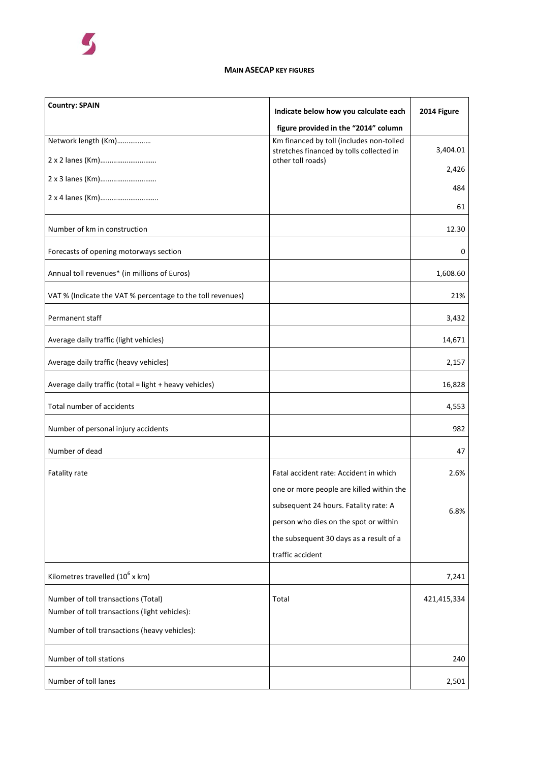

### **MAIN ASECAP KEY FIGURES**

| <b>Country: SPAIN</b>                                      | Indicate below how you calculate each                         | 2014 Figure |
|------------------------------------------------------------|---------------------------------------------------------------|-------------|
|                                                            | figure provided in the "2014" column                          |             |
| Network length (Km)                                        | Km financed by toll (includes non-tolled                      |             |
|                                                            | stretches financed by tolls collected in<br>other toll roads) | 3,404.01    |
|                                                            |                                                               | 2,426       |
| 2 x 3 lanes (Km)                                           |                                                               | 484         |
| 2 x 4 lanes (Km)                                           |                                                               | 61          |
| Number of km in construction                               |                                                               | 12.30       |
| Forecasts of opening motorways section                     |                                                               | 0           |
| Annual toll revenues* (in millions of Euros)               |                                                               | 1,608.60    |
| VAT % (Indicate the VAT % percentage to the toll revenues) |                                                               | 21%         |
| Permanent staff                                            |                                                               | 3,432       |
| Average daily traffic (light vehicles)                     |                                                               | 14,671      |
| Average daily traffic (heavy vehicles)                     |                                                               | 2,157       |
| Average daily traffic (total = light + heavy vehicles)     |                                                               | 16,828      |
| Total number of accidents                                  |                                                               | 4,553       |
| Number of personal injury accidents                        |                                                               | 982         |
| Number of dead                                             |                                                               | 47          |
| Fatality rate                                              | Fatal accident rate: Accident in which                        | 2.6%        |
|                                                            | one or more people are killed within the                      |             |
|                                                            | subsequent 24 hours. Fatality rate: A                         | 6.8%        |
|                                                            | person who dies on the spot or within                         |             |
|                                                            | the subsequent 30 days as a result of a                       |             |
|                                                            | traffic accident                                              |             |
| Kilometres travelled $(10^6 \text{ x km})$                 |                                                               | 7,241       |
| Number of toll transactions (Total)                        | Total                                                         | 421,415,334 |
| Number of toll transactions (light vehicles):              |                                                               |             |
| Number of toll transactions (heavy vehicles):              |                                                               |             |
| Number of toll stations                                    |                                                               | 240         |
| Number of toll lanes                                       |                                                               | 2,501       |